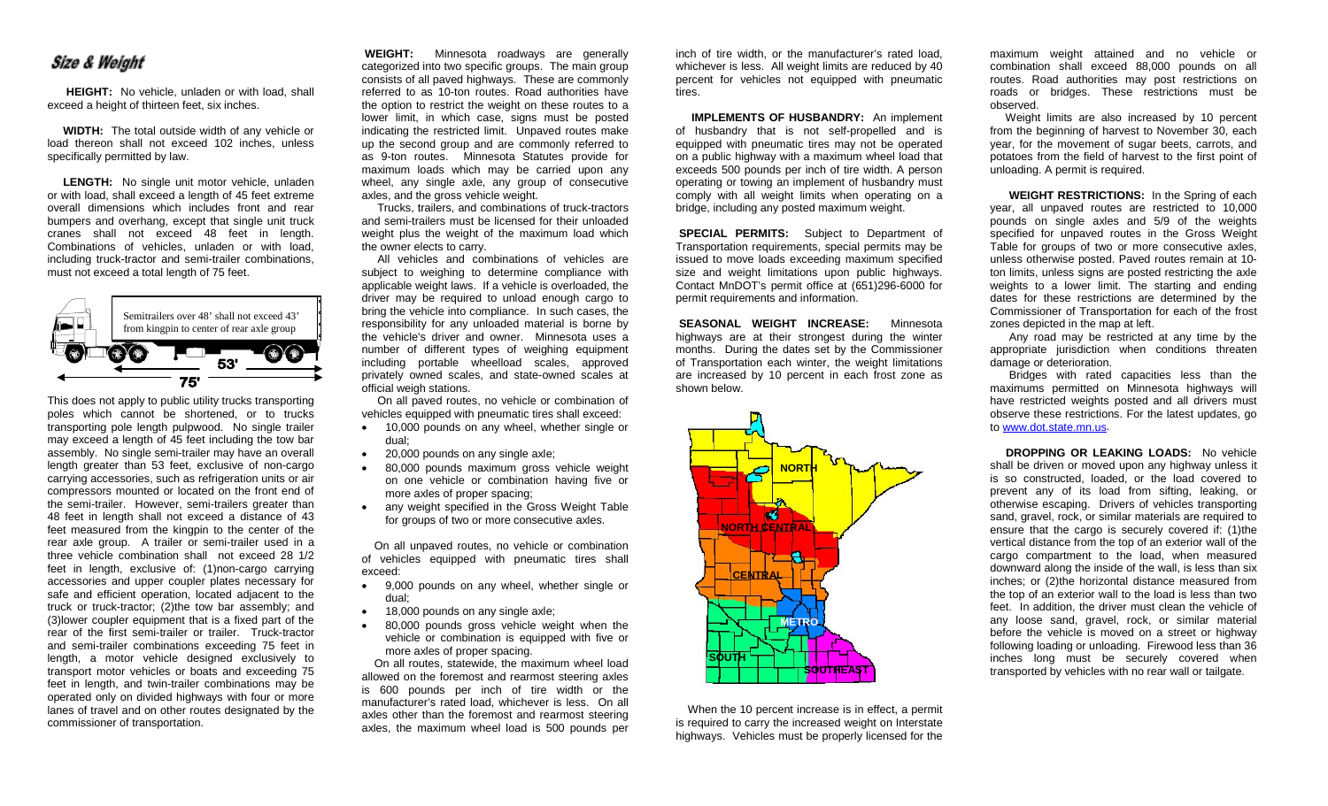## **Size & Weight**

**HEIGHT:** No vehicle, unladen or with load, shall exceed a height of thirteen feet, six inches.

 **WIDTH:** The total outside width of any vehicle or load thereon shall not exceed 102 inches, unless specifically permitted by law.

 **LENGTH:** No single unit motor vehicle, unladen or with load, shall exceed a length of 45 feet extreme overall dimensions which includes front and rear bumpers and overhang, except that single unit truck cranes shall not exceed 48 feet in length. Combinations of vehicles, unladen or with load, including truck-tractor and semi-trailer combinations, must not exceed a total length of 75 feet.



This does not apply to public utility trucks transporting poles which cannot be shortened, or to trucks transporting pole length pulpwood. No single trailer may exceed a length of 45 feet including the tow bar assembly. No single semi-trailer may have an overall length greater than 53 feet, exclusive of non-cargo carrying accessories, such as refrigeration units or air compressors mounted or located on the front end of the semi-trailer. However, semi-trailers greater than 48 feet in length shall not exceed a distance of 43 feet measured from the kingpin to the center of the rear axle group. A trailer or semi-trailer used in a three vehicle combination shall not exceed 28 1/2 feet in length, exclusive of: (1)non-cargo carrying accessories and upper coupler plates necessary for safe and efficient operation, located adjacent to the truck or truck-tractor; (2)the tow bar assembly; and (3)lower coupler equipment that is a fixed part of the rear of the first semi-trailer or trailer. Truck-tractor and semi-trailer combinations exceeding 75 feet in length, a motor vehicle designed exclusively to transport motor vehicles or boats and exceeding 75 feet in length, and twin-trailer combinations may be operated only on divided highways with four or more lanes of travel and on other routes designated by the commissioner of transportation.

**WEIGHT:** Minnesota roadways are generally categorized into two specific groups. The main group consists of all paved highways. These are commonly referred to as 10-ton routes. Road authorities have the option to restrict the weight on these routes to a lower limit, in which case, signs must be posted indicating the restricted limit. Unpaved routes make up the second group and are commonly referred to as 9-ton routes. Minnesota Statutes provide for maximum loads which may be carried upon any wheel, any single axle, any group of consecutive axles, and the gross vehicle weight.

 Trucks, trailers, and combinations of truck-tractors and semi-trailers must be licensed for their unloaded weight plus the weight of the maximum load which the owner elects to carry.

 All vehicles and combinations of vehicles are subject to weighing to determine compliance with applicable weight laws. If a vehicle is overloaded, the driver may be required to unload enough cargo to bring the vehicle into compliance. In such cases, the responsibility for any unloaded material is borne by the vehicle's driver and owner. Minnesota uses a number of different types of weighing equipment including portable wheelload scales, approved privately owned scales, and state-owned scales at official weigh stations.

 On all paved routes, no vehicle or combination of vehicles equipped with pneumatic tires shall exceed:

- 10,000 pounds on any wheel, whether single or dual;
- 20,000 pounds on any single axle;
- 80,000 pounds maximum gross vehicle weight on one vehicle or combination having five or more axles of proper spacing;
- any weight specified in the Gross Weight Table for groups of two or more consecutive axles.

 On all unpaved routes, no vehicle or combination of vehicles equipped with pneumatic tires shall exceed:

- 9,000 pounds on any wheel, whether single or dual;
- 18,000 pounds on any single axle;
- 80,000 pounds gross vehicle weight when the vehicle or combination is equipped with five or more axles of proper spacing.

 On all routes, statewide, the maximum wheel load allowed on the foremost and rearmost steering axles is 600 pounds per inch of tire width or the manufacturer's rated load, whichever is less. On all axles other than the foremost and rearmost steering axles, the maximum wheel load is 500 pounds per

inch of tire width, or the manufacturer's rated load, whichever is less. All weight limits are reduced by 40 percent for vehicles not equipped with pneumatic tires.

 **IMPLEMENTS OF HUSBANDRY:** An implement of husbandry that is not self-propelled and is equipped with pneumatic tires may not be operated on a public highway with a maximum wheel load that exceeds 500 pounds per inch of tire width. A person operating or towing an implement of husbandry must comply with all weight limits when operating on a bridge, including any posted maximum weight.

**SPECIAL PERMITS:** Subject to Department of Transportation requirements, special permits may be issued to move loads exceeding maximum specified size and weight limitations upon public highways. Contact MnDOT's permit office at (651)296-6000 for permit requirements and information.

**SEASONAL WEIGHT INCREASE:** Minnesota highways are at their strongest during the winter months. During the dates set by the Commissioner of Transportation each winter, the weight limitations are increased by 10 percent in each frost zone as shown below.



When the 10 percent increase is in effect, a permit is required to carry the increased weight on Interstate highways. Vehicles must be properly licensed for the

maximum weight attained and no vehicle or combination shall exceed 88,000 pounds on all routes. Road authorities may post restrictions on roads or bridges. These restrictions must be observed.

Weight limits are also increased by 10 percent from the beginning of harvest to November 30, each year, for the movement of sugar beets, carrots, and potatoes from the field of harvest to the first point of unloading. A permit is required.

**WEIGHT RESTRICTIONS:** In the Spring of each year, all unpaved routes are restricted to 10,000 pounds on single axles and 5/9 of the weights specified for unpaved routes in the Gross Weight Table for groups of two or more consecutive axles, unless otherwise posted. Paved routes remain at 10 ton limits, unless signs are posted restricting the axle weights to a lower limit. The starting and ending dates for these restrictions are determined by the Commissioner of Transportation for each of the frost zones depicted in the map at left.

Any road may be restricted at any time by the appropriate jurisdiction when conditions threaten damage or deterioration.

Bridges with rated capacities less than the maximums permitted on Minnesota highways will have restricted weights posted and all drivers must observe these restrictions. For the latest updates, go to [www.dot.state.mn.us.](http://www.dot.state.mn.us/)

 **DROPPING OR LEAKING LOADS:** No vehicle shall be driven or moved upon any highway unless it is so constructed, loaded, or the load covered to prevent any of its load from sifting, leaking, or otherwise escaping. Drivers of vehicles transporting sand, gravel, rock, or similar materials are required to ensure that the cargo is securely covered if: (1)the vertical distance from the top of an exterior wall of the cargo compartment to the load, when measured downward along the inside of the wall, is less than six inches; or (2)the horizontal distance measured from the top of an exterior wall to the load is less than two feet. In addition, the driver must clean the vehicle of any loose sand, gravel, rock, or similar material before the vehicle is moved on a street or highway following loading or unloading. Firewood less than 36 inches long must be securely covered when transported by vehicles with no rear wall or tailgate.